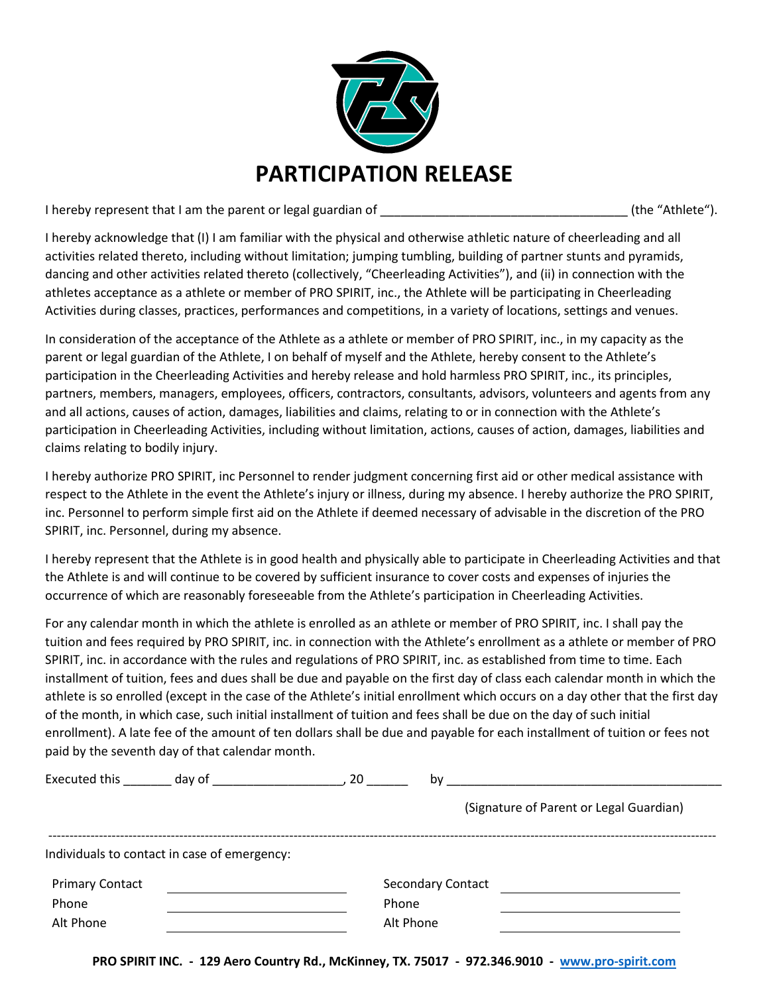

I hereby represent that I am the parent or legal guardian of \_\_\_\_\_\_\_\_\_\_\_\_\_\_\_\_\_\_\_\_\_\_\_\_\_\_\_\_\_\_\_\_\_\_\_\_ (the "Athlete").

I hereby acknowledge that (I) I am familiar with the physical and otherwise athletic nature of cheerleading and all activities related thereto, including without limitation; jumping tumbling, building of partner stunts and pyramids, dancing and other activities related thereto (collectively, "Cheerleading Activities"), and (ii) in connection with the athletes acceptance as a athlete or member of PRO SPIRIT, inc., the Athlete will be participating in Cheerleading Activities during classes, practices, performances and competitions, in a variety of locations, settings and venues.

In consideration of the acceptance of the Athlete as a athlete or member of PRO SPIRIT, inc., in my capacity as the parent or legal guardian of the Athlete, I on behalf of myself and the Athlete, hereby consent to the Athlete's participation in the Cheerleading Activities and hereby release and hold harmless PRO SPIRIT, inc., its principles, partners, members, managers, employees, officers, contractors, consultants, advisors, volunteers and agents from any and all actions, causes of action, damages, liabilities and claims, relating to or in connection with the Athlete's participation in Cheerleading Activities, including without limitation, actions, causes of action, damages, liabilities and claims relating to bodily injury.

I hereby authorize PRO SPIRIT, inc Personnel to render judgment concerning first aid or other medical assistance with respect to the Athlete in the event the Athlete's injury or illness, during my absence. I hereby authorize the PRO SPIRIT, inc. Personnel to perform simple first aid on the Athlete if deemed necessary of advisable in the discretion of the PRO SPIRIT, inc. Personnel, during my absence.

I hereby represent that the Athlete is in good health and physically able to participate in Cheerleading Activities and that the Athlete is and will continue to be covered by sufficient insurance to cover costs and expenses of injuries the occurrence of which are reasonably foreseeable from the Athlete's participation in Cheerleading Activities.

For any calendar month in which the athlete is enrolled as an athlete or member of PRO SPIRIT, inc. I shall pay the tuition and fees required by PRO SPIRIT, inc. in connection with the Athlete's enrollment as a athlete or member of PRO SPIRIT, inc. in accordance with the rules and regulations of PRO SPIRIT, inc. as established from time to time. Each installment of tuition, fees and dues shall be due and payable on the first day of class each calendar month in which the athlete is so enrolled (except in the case of the Athlete's initial enrollment which occurs on a day other that the first day of the month, in which case, such initial installment of tuition and fees shall be due on the day of such initial enrollment). A late fee of the amount of ten dollars shall be due and payable for each installment of tuition or fees not paid by the seventh day of that calendar month.

| Executed this          | day of                                       | 20<br>by                 |                                         |
|------------------------|----------------------------------------------|--------------------------|-----------------------------------------|
|                        |                                              |                          | (Signature of Parent or Legal Guardian) |
|                        | Individuals to contact in case of emergency: |                          |                                         |
| <b>Primary Contact</b> |                                              | <b>Secondary Contact</b> |                                         |
| Phone                  |                                              | Phone                    |                                         |
| Alt Phone              |                                              | Alt Phone                |                                         |

**PRO SPIRIT INC. - 129 Aero Country Rd., McKinney, TX. 75017 - 972.346.9010 - [www.pro-spirit.com](http://www.pro-spirit.com/)**